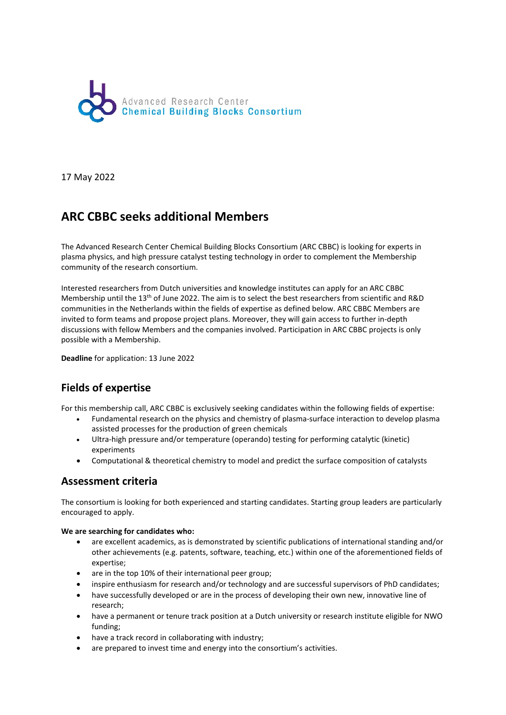

17 May 2022

# **ARC CBBC seeks additional Members**

The Advanced Research Center Chemical Building Blocks Consortium (ARC CBBC) is looking for experts in plasma physics, and high pressure catalyst testing technology in order to complement the Membership community of the research consortium.

Interested researchers from Dutch universities and knowledge institutes can apply for an ARC CBBC Membership until the 13th of June 2022. The aim is to select the best researchers from scientific and R&D communities in the Netherlands within the fields of expertise as defined below. ARC CBBC Members are invited to form teams and propose project plans. Moreover, they will gain access to further in-depth discussions with fellow Members and the companies involved. Participation in ARC CBBC projects is only possible with a Membership.

**Deadline** for application: 13 June 2022

## **Fields of expertise**

For this membership call, ARC CBBC is exclusively seeking candidates within the following fields of expertise:

- Fundamental research on the physics and chemistry of plasma-surface interaction to develop plasma assisted processes for the production of green chemicals
- Ultra-high pressure and/or temperature (operando) testing for performing catalytic (kinetic) experiments
- Computational & theoretical chemistry to model and predict the surface composition of catalysts

#### **Assessment criteria**

The consortium is looking for both experienced and starting candidates. Starting group leaders are particularly encouraged to apply.

#### **We are searching for candidates who:**

- are excellent academics, as is demonstrated by scientific publications of international standing and/or other achievements (e.g. patents, software, teaching, etc.) within one of the aforementioned fields of expertise;
- are in the top 10% of their international peer group;
- inspire enthusiasm for research and/or technology and are successful supervisors of PhD candidates;
- have successfully developed or are in the process of developing their own new, innovative line of research;
- have a permanent or tenure track position at a Dutch university or research institute eligible for NWO funding;
- have a track record in collaborating with industry;
- are prepared to invest time and energy into the consortium's activities.